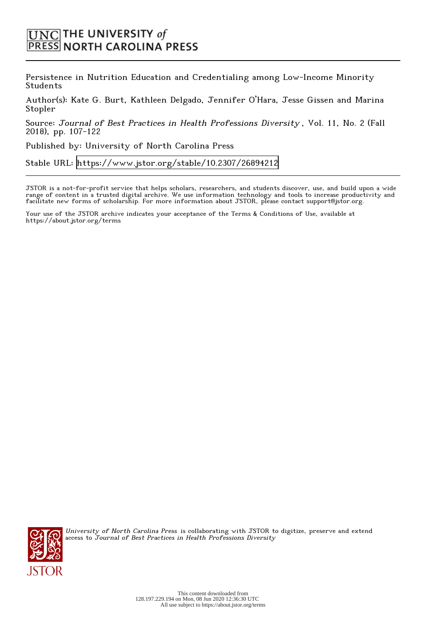## $\boxed{\text{UNC}}$  THE UNIVERSITY of **PRESS NORTH CAROLINA PRESS**

Persistence in Nutrition Education and Credentialing among Low-Income Minority Students

Author(s): Kate G. Burt, Kathleen Delgado, Jennifer O'Hara, Jesse Gissen and Marina Stopler

Source: Journal of Best Practices in Health Professions Diversity , Vol. 11, No. 2 (Fall 2018), pp. 107-122

Published by: University of North Carolina Press

Stable URL:<https://www.jstor.org/stable/10.2307/26894212>

JSTOR is a not-for-profit service that helps scholars, researchers, and students discover, use, and build upon a wide range of content in a trusted digital archive. We use information technology and tools to increase productivity and facilitate new forms of scholarship. For more information about JSTOR, please contact support@jstor.org.

Your use of the JSTOR archive indicates your acceptance of the Terms & Conditions of Use, available at https://about.jstor.org/terms



University of North Carolina Press is collaborating with JSTOR to digitize, preserve and extend access to Journal of Best Practices in Health Professions Diversity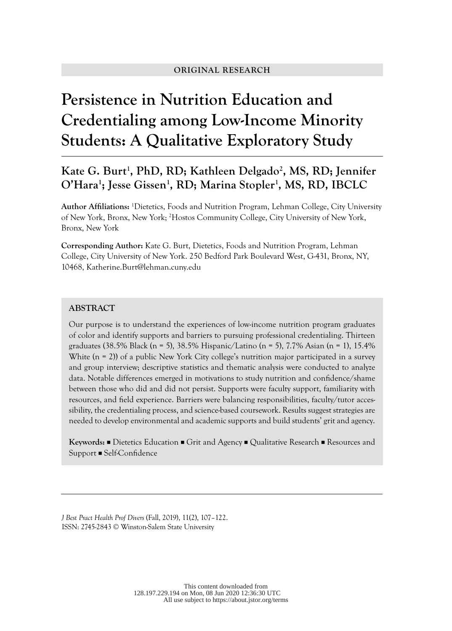# **Persistence in Nutrition Education and Credentialing among Low-Income Minority Students: A Qualitative Exploratory Study**

### **Kate G. Burt1 , PhD, RD; Kathleen Delgado2 , MS, RD; Jennifer O'Hara1 ; Jesse Gissen1 , RD; Marina Stopler1 , MS, RD, IBCLC**

**Author Affiliations:** <sup>1</sup> Dietetics, Foods and Nutrition Program, Lehman College, City University of New York, Bronx, New York; 2 Hostos Community College, City University of New York, Bronx, New York

**Corresponding Author:** Kate G. Burt, Dietetics, Foods and Nutrition Program, Lehman College, City University of New York. 250 Bedford Park Boulevard West, G-431, Bronx, NY, 10468, Katherine.Burt@lehman.cuny.edu

#### **ABSTRACT**

Our purpose is to understand the experiences of low-income nutrition program graduates of color and identify supports and barriers to pursuing professional credentialing. Thirteen graduates (38.5% Black (n = 5), 38.5% Hispanic/Latino (n = 5), 7.7% Asian (n = 1), 15.4% White (n = 2)) of a public New York City college's nutrition major participated in a survey and group interview; descriptive statistics and thematic analysis were conducted to analyze data. Notable differences emerged in motivations to study nutrition and confidence/shame between those who did and did not persist. Supports were faculty support, familiarity with resources, and field experience. Barriers were balancing responsibilities, faculty/tutor accessibility, the credentialing process, and science-based coursework. Results suggest strategies are needed to develop environmental and academic supports and build students' grit and agency.

**Keywords: ■ Dietetics Education ■ Grit and Agency ■ Qualitative Research ■ Resources and** Support  $\blacksquare$  Self-Confidence

*J Best Pract Health Prof Divers* (Fall, 2019), 11(2), 107–122. ISSN: 2745-2843 © Winston-Salem State University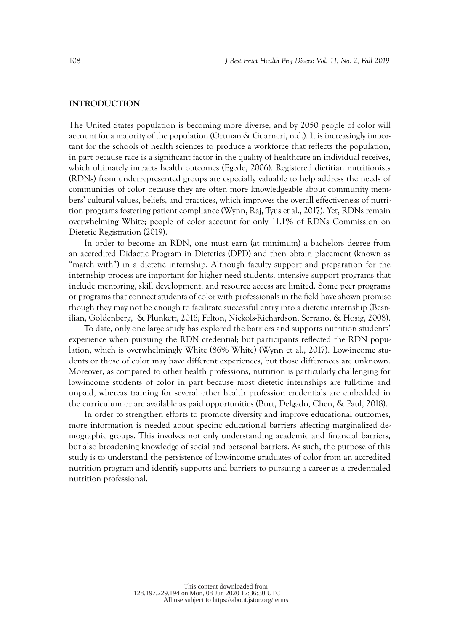#### **INTRODUCTION**

The United States population is becoming more diverse, and by 2050 people of color will account for a majority of the population (Ortman & Guarneri, n.d.). It is increasingly important for the schools of health sciences to produce a workforce that reflects the population, in part because race is a significant factor in the quality of healthcare an individual receives, which ultimately impacts health outcomes (Egede, 2006). Registered dietitian nutritionists (RDNs) from underrepresented groups are especially valuable to help address the needs of communities of color because they are often more knowledgeable about community members' cultural values, beliefs, and practices, which improves the overall effectiveness of nutrition programs fostering patient compliance (Wynn, Raj, Tyus et al., 2017). Yet, RDNs remain overwhelming White; people of color account for only 11.1% of RDNs Commission on Dietetic Registration (2019).

In order to become an RDN, one must earn (at minimum) a bachelors degree from an accredited Didactic Program in Dietetics (DPD) and then obtain placement (known as "match with") in a dietetic internship. Although faculty support and preparation for the internship process are important for higher need students, intensive support programs that include mentoring, skill development, and resource access are limited. Some peer programs or programs that connect students of color with professionals in the field have shown promise though they may not be enough to facilitate successful entry into a dietetic internship (Besnilian, Goldenberg, & Plunkett, 2016; Felton, Nickols-Richardson, Serrano, & Hosig, 2008).

To date, only one large study has explored the barriers and supports nutrition students' experience when pursuing the RDN credential; but participants reflected the RDN population, which is overwhelmingly White (86% White) (Wynn et al., 2017). Low-income students or those of color may have different experiences, but those differences are unknown. Moreover, as compared to other health professions, nutrition is particularly challenging for low-income students of color in part because most dietetic internships are full-time and unpaid, whereas training for several other health profession credentials are embedded in the curriculum or are available as paid opportunities (Burt, Delgado, Chen, & Paul, 2018).

In order to strengthen efforts to promote diversity and improve educational outcomes, more information is needed about specific educational barriers affecting marginalized demographic groups. This involves not only understanding academic and financial barriers, but also broadening knowledge of social and personal barriers. As such, the purpose of this study is to understand the persistence of low-income graduates of color from an accredited nutrition program and identify supports and barriers to pursuing a career as a credentialed nutrition professional.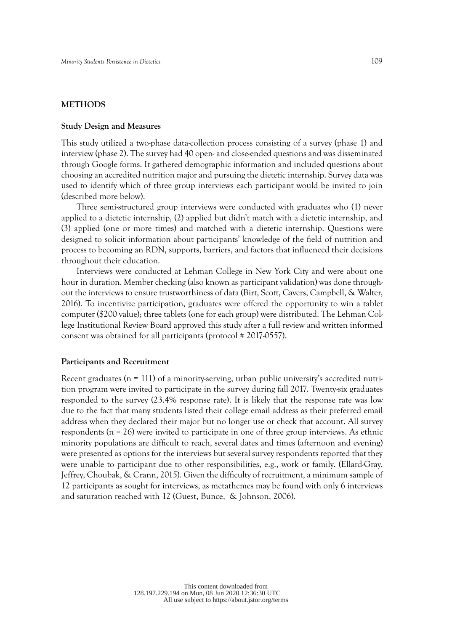#### **METHODS**

#### **Study Design and Measures**

This study utilized a two-phase data-collection process consisting of a survey (phase 1) and interview (phase 2). The survey had 40 open- and close-ended questions and was disseminated through Google forms. It gathered demographic information and included questions about choosing an accredited nutrition major and pursuing the dietetic internship. Survey data was used to identify which of three group interviews each participant would be invited to join (described more below).

Three semi-structured group interviews were conducted with graduates who (1) never applied to a dietetic internship, (2) applied but didn't match with a dietetic internship, and (3) applied (one or more times) and matched with a dietetic internship. Questions were designed to solicit information about participants' knowledge of the field of nutrition and process to becoming an RDN, supports, barriers, and factors that influenced their decisions throughout their education.

Interviews were conducted at Lehman College in New York City and were about one hour in duration. Member checking (also known as participant validation) was done throughout the interviews to ensure trustworthiness of data (Birt, Scott, Cavers, Campbell, & Walter, 2016). To incentivize participation, graduates were offered the opportunity to win a tablet computer (\$200 value); three tablets (one for each group) were distributed. The Lehman College Institutional Review Board approved this study after a full review and written informed consent was obtained for all participants (protocol # 2017-0557).

#### **Participants and Recruitment**

Recent graduates ( $n = 111$ ) of a minority-serving, urban public university's accredited nutrition program were invited to participate in the survey during fall 2017. Twenty-six graduates responded to the survey (23.4% response rate). It is likely that the response rate was low due to the fact that many students listed their college email address as their preferred email address when they declared their major but no longer use or check that account. All survey respondents (n = 26) were invited to participate in one of three group interviews. As ethnic minority populations are difficult to reach, several dates and times (afternoon and evening) were presented as options for the interviews but several survey respondents reported that they were unable to participant due to other responsibilities, e.g., work or family. (Ellard-Gray, Jeffrey, Choubak, & Crann, 2015). Given the difficulty of recruitment, a minimum sample of 12 participants as sought for interviews, as metathemes may be found with only 6 interviews and saturation reached with 12 (Guest, Bunce, & Johnson, 2006).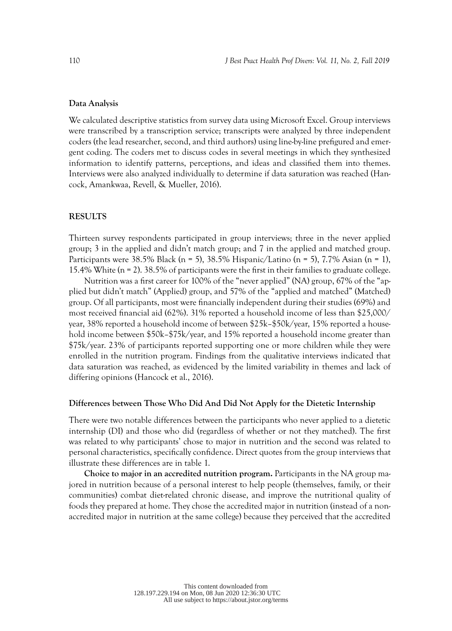#### **Data Analysis**

We calculated descriptive statistics from survey data using Microsoft Excel. Group interviews were transcribed by a transcription service; transcripts were analyzed by three independent coders (the lead researcher, second, and third authors) using line-by-line prefigured and emergent coding. The coders met to discuss codes in several meetings in which they synthesized information to identify patterns, perceptions, and ideas and classified them into themes. Interviews were also analyzed individually to determine if data saturation was reached (Hancock, Amankwaa, Revell, & Mueller, 2016).

#### **RESULTS**

Thirteen survey respondents participated in group interviews; three in the never applied group; 3 in the applied and didn't match group; and 7 in the applied and matched group. Participants were 38.5% Black (n = 5), 38.5% Hispanic/Latino (n = 5), 7.7% Asian (n = 1), 15.4% White (n = 2). 38.5% of participants were the first in their families to graduate college.

Nutrition was a first career for 100% of the "never applied" (NA) group, 67% of the "applied but didn't match" (Applied) group, and 57% of the "applied and matched" (Matched) group. Of all participants, most were financially independent during their studies (69%) and most received financial aid (62%). 31% reported a household income of less than \$25,000/ year, 38% reported a household income of between \$25k–\$50k/year, 15% reported a household income between \$50k–\$75k/year, and 15% reported a household income greater than \$75k/year. 23% of participants reported supporting one or more children while they were enrolled in the nutrition program. Findings from the qualitative interviews indicated that data saturation was reached, as evidenced by the limited variability in themes and lack of differing opinions (Hancock et al., 2016).

#### **Differences between Those Who Did And Did Not Apply for the Dietetic Internship**

There were two notable differences between the participants who never applied to a dietetic internship (DI) and those who did (regardless of whether or not they matched). The first was related to why participants' chose to major in nutrition and the second was related to personal characteristics, specifically confidence. Direct quotes from the group interviews that illustrate these differences are in table 1.

**Choice to major in an accredited nutrition program.** Participants in the NA group majored in nutrition because of a personal interest to help people (themselves, family, or their communities) combat diet-related chronic disease, and improve the nutritional quality of foods they prepared at home. They chose the accredited major in nutrition (instead of a nonaccredited major in nutrition at the same college) because they perceived that the accredited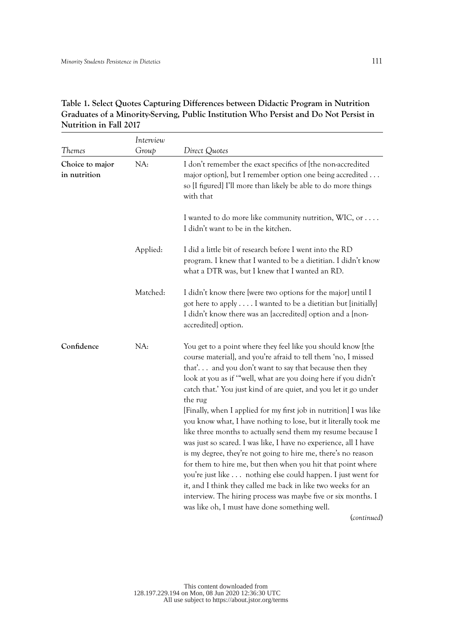|                                 | Interview |                                                                                                                                                                                                                                                                                                                                                                                                                                                                                                                                                                                                                                                                                                                                                                                                                                                                                                                                                                                                        |
|---------------------------------|-----------|--------------------------------------------------------------------------------------------------------------------------------------------------------------------------------------------------------------------------------------------------------------------------------------------------------------------------------------------------------------------------------------------------------------------------------------------------------------------------------------------------------------------------------------------------------------------------------------------------------------------------------------------------------------------------------------------------------------------------------------------------------------------------------------------------------------------------------------------------------------------------------------------------------------------------------------------------------------------------------------------------------|
| Themes                          | Group     | Direct Quotes                                                                                                                                                                                                                                                                                                                                                                                                                                                                                                                                                                                                                                                                                                                                                                                                                                                                                                                                                                                          |
| Choice to major<br>in nutrition | NA:       | I don't remember the exact specifics of [the non-accredited<br>major option], but I remember option one being accredited<br>so [I figured] I'll more than likely be able to do more things<br>with that                                                                                                                                                                                                                                                                                                                                                                                                                                                                                                                                                                                                                                                                                                                                                                                                |
|                                 |           | I wanted to do more like community nutrition, WIC, or<br>I didn't want to be in the kitchen.                                                                                                                                                                                                                                                                                                                                                                                                                                                                                                                                                                                                                                                                                                                                                                                                                                                                                                           |
|                                 | Applied:  | I did a little bit of research before I went into the RD<br>program. I knew that I wanted to be a dietitian. I didn't know<br>what a DTR was, but I knew that I wanted an RD.                                                                                                                                                                                                                                                                                                                                                                                                                                                                                                                                                                                                                                                                                                                                                                                                                          |
|                                 | Matched:  | I didn't know there [were two options for the major] until I<br>got here to apply I wanted to be a dietitian but [initially]<br>I didn't know there was an [accredited] option and a [non-<br>accredited] option.                                                                                                                                                                                                                                                                                                                                                                                                                                                                                                                                                                                                                                                                                                                                                                                      |
| Confidence                      | NA:       | You get to a point where they feel like you should know [the<br>course material], and you're afraid to tell them 'no, I missed<br>that' and you don't want to say that because then they<br>look at you as if "well, what are you doing here if you didn't<br>catch that.' You just kind of are quiet, and you let it go under<br>the rug<br>[Finally, when I applied for my first job in nutrition] I was like<br>you know what, I have nothing to lose, but it literally took me<br>like three months to actually send them my resume because I<br>was just so scared. I was like, I have no experience, all I have<br>is my degree, they're not going to hire me, there's no reason<br>for them to hire me, but then when you hit that point where<br>you're just like nothing else could happen. I just went for<br>it, and I think they called me back in like two weeks for an<br>interview. The hiring process was maybe five or six months. I<br>was like oh, I must have done something well. |
|                                 |           | (continued)                                                                                                                                                                                                                                                                                                                                                                                                                                                                                                                                                                                                                                                                                                                                                                                                                                                                                                                                                                                            |

| Table 1. Select Quotes Capturing Differences between Didactic Program in Nutrition    |
|---------------------------------------------------------------------------------------|
| Graduates of a Minority-Serving. Public Institution Who Persist and Do Not Persist in |
| <b>Nutrition in Fall 2017</b>                                                         |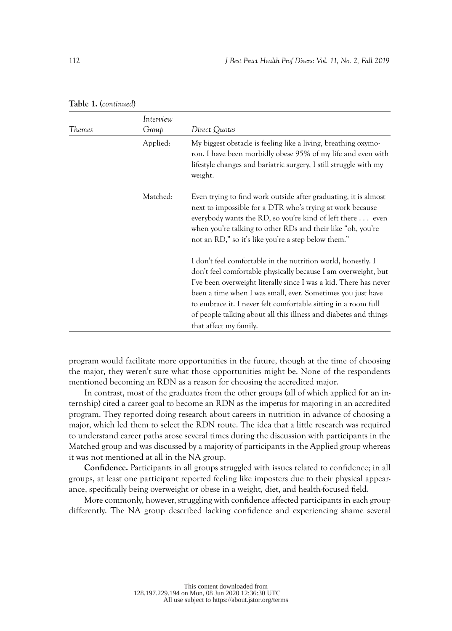|        | Interview |                                                                                                                                                                                                                                                                                                                                                                                                                                    |
|--------|-----------|------------------------------------------------------------------------------------------------------------------------------------------------------------------------------------------------------------------------------------------------------------------------------------------------------------------------------------------------------------------------------------------------------------------------------------|
| Themes | Group     | Direct Quotes                                                                                                                                                                                                                                                                                                                                                                                                                      |
|        | Applied:  | My biggest obstacle is feeling like a living, breathing oxymo-<br>ron. I have been morbidly obese 95% of my life and even with<br>lifestyle changes and bariatric surgery, I still struggle with my<br>weight.                                                                                                                                                                                                                     |
|        | Matched:  | Even trying to find work outside after graduating, it is almost<br>next to impossible for a DTR who's trying at work because<br>everybody wants the RD, so you're kind of left there $\dots$ even<br>when you're talking to other RDs and their like "oh, you're<br>not an RD," so it's like you're a step below them."                                                                                                            |
|        |           | I don't feel comfortable in the nutrition world, honestly. I<br>don't feel comfortable physically because I am overweight, but<br>I've been overweight literally since I was a kid. There has never<br>been a time when I was small, ever. Sometimes you just have<br>to embrace it. I never felt comfortable sitting in a room full<br>of people talking about all this illness and diabetes and things<br>that affect my family. |

**Table 1.** (*continued*)

program would facilitate more opportunities in the future, though at the time of choosing the major, they weren't sure what those opportunities might be. None of the respondents mentioned becoming an RDN as a reason for choosing the accredited major.

In contrast, most of the graduates from the other groups (all of which applied for an internship) cited a career goal to become an RDN as the impetus for majoring in an accredited program. They reported doing research about careers in nutrition in advance of choosing a major, which led them to select the RDN route. The idea that a little research was required to understand career paths arose several times during the discussion with participants in the Matched group and was discussed by a majority of participants in the Applied group whereas it was not mentioned at all in the NA group.

**Confidence.** Participants in all groups struggled with issues related to confidence; in all groups, at least one participant reported feeling like imposters due to their physical appearance, specifically being overweight or obese in a weight, diet, and health-focused field.

More commonly, however, struggling with confidence affected participants in each group differently. The NA group described lacking confidence and experiencing shame several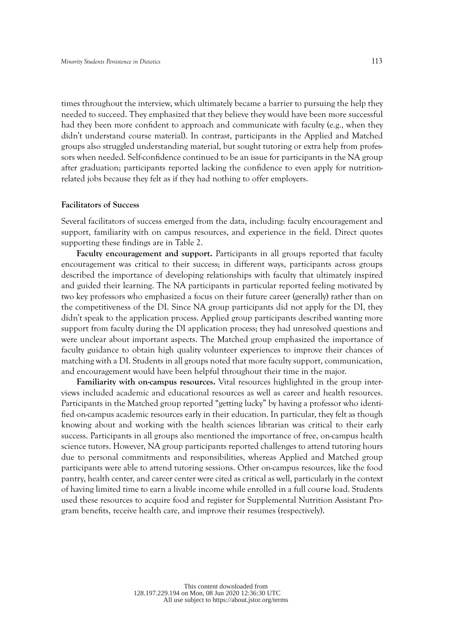times throughout the interview, which ultimately became a barrier to pursuing the help they needed to succeed. They emphasized that they believe they would have been more successful had they been more confident to approach and communicate with faculty (e.g., when they didn't understand course material). In contrast, participants in the Applied and Matched groups also struggled understanding material, but sought tutoring or extra help from professors when needed. Self-confidence continued to be an issue for participants in the NA group after graduation; participants reported lacking the confidence to even apply for nutritionrelated jobs because they felt as if they had nothing to offer employers.

#### **Facilitators of Success**

Several facilitators of success emerged from the data, including: faculty encouragement and support, familiarity with on campus resources, and experience in the field. Direct quotes supporting these findings are in Table 2.

**Faculty encouragement and support.** Participants in all groups reported that faculty encouragement was critical to their success; in different ways, participants across groups described the importance of developing relationships with faculty that ultimately inspired and guided their learning. The NA participants in particular reported feeling motivated by two key professors who emphasized a focus on their future career (generally) rather than on the competitiveness of the DI. Since NA group participants did not apply for the DI, they didn't speak to the application process. Applied group participants described wanting more support from faculty during the DI application process; they had unresolved questions and were unclear about important aspects. The Matched group emphasized the importance of faculty guidance to obtain high quality volunteer experiences to improve their chances of matching with a DI. Students in all groups noted that more faculty support, communication, and encouragement would have been helpful throughout their time in the major.

**Familiarity with on-campus resources.** Vital resources highlighted in the group interviews included academic and educational resources as well as career and health resources. Participants in the Matched group reported "getting lucky" by having a professor who identified on-campus academic resources early in their education. In particular, they felt as though knowing about and working with the health sciences librarian was critical to their early success. Participants in all groups also mentioned the importance of free, on-campus health science tutors. However, NA group participants reported challenges to attend tutoring hours due to personal commitments and responsibilities, whereas Applied and Matched group participants were able to attend tutoring sessions. Other on-campus resources, like the food pantry, health center, and career center were cited as critical as well, particularly in the context of having limited time to earn a livable income while enrolled in a full course load. Students used these resources to acquire food and register for Supplemental Nutrition Assistant Program benefits, receive health care, and improve their resumes (respectively).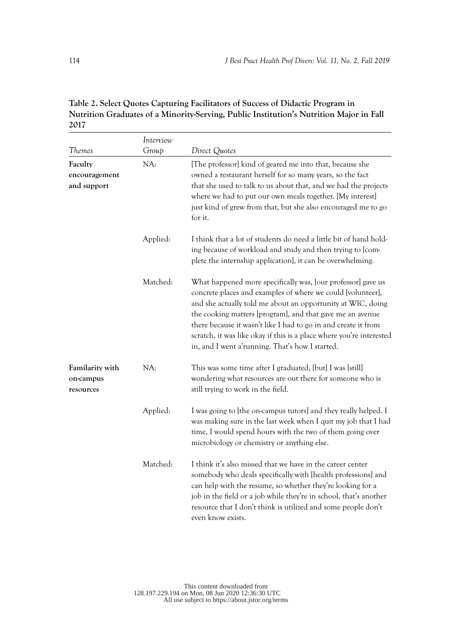**Table 2. Select Quotes Capturing Facilitators of Success of Didactic Program in Nutrition Graduates of a Minority-Serving, Public Institution's Nutrition Major in Fall 2017**

| Themes                                    | Interview<br>Group | Direct Quotes                                                                                                                                                                                                                                                                                                                                                                                                                                        |
|-------------------------------------------|--------------------|------------------------------------------------------------------------------------------------------------------------------------------------------------------------------------------------------------------------------------------------------------------------------------------------------------------------------------------------------------------------------------------------------------------------------------------------------|
| Faculty<br>encouragement<br>and support   | NA:                | [The professor] kind of geared me into that, because she<br>owned a restaurant herself for so many years, so the fact<br>that she used to talk to us about that, and we had the projects<br>where we had to put our own meals together. [My interest]<br>just kind of grew from that, but she also encouraged me to go<br>for it.                                                                                                                    |
|                                           | Applied:           | I think that a lot of students do need a little bit of hand hold-<br>ing because of workload and study and then trying to [com-<br>plete the internship application], it can be overwhelming.                                                                                                                                                                                                                                                        |
|                                           | Matched:           | What happened more specifically was, [our professor] gave us<br>concrete places and examples of where we could [volunteer],<br>and she actually told me about an opportunity at WIC, doing<br>the cooking matters [program], and that gave me an avenue<br>there because it wasn't like I had to go in and create it from<br>scratch, it was like okay if this is a place where you're interested<br>in, and I went a'running. That's how I started. |
| Familarity with<br>on-campus<br>resources | NA:                | This was some time after I graduated, [but] I was [still]<br>wondering what resources are out there for someone who is<br>still trying to work in the field.                                                                                                                                                                                                                                                                                         |
|                                           | Applied:           | I was going to [the on-campus tutors] and they really helped. I<br>was making sure in the last week when I quit my job that I had<br>time, I would spend hours with the two of them going over<br>microbiology or chemistry or anything else.                                                                                                                                                                                                        |
|                                           | Matched:           | I think it's also missed that we have in the career center<br>somebody who deals specifically with [health professions] and<br>can help with the resume, so whether they're looking for a<br>job in the field or a job while they're in school, that's another<br>resource that I don't think is utilized and some people don't<br>even know exists.                                                                                                 |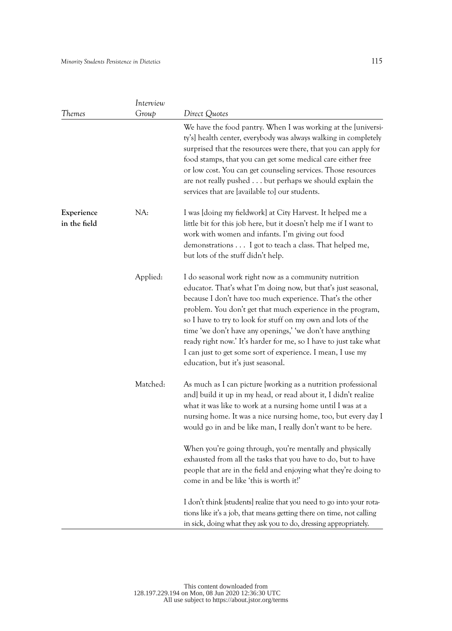|                            | Interview |                                                                                                                                                                                                                                                                                                                                                                                                                                                                                                                                                              |
|----------------------------|-----------|--------------------------------------------------------------------------------------------------------------------------------------------------------------------------------------------------------------------------------------------------------------------------------------------------------------------------------------------------------------------------------------------------------------------------------------------------------------------------------------------------------------------------------------------------------------|
| Themes                     | Group     | Direct Quotes                                                                                                                                                                                                                                                                                                                                                                                                                                                                                                                                                |
|                            |           | We have the food pantry. When I was working at the [universi-<br>ty's] health center, everybody was always walking in completely<br>surprised that the resources were there, that you can apply for<br>food stamps, that you can get some medical care either free<br>or low cost. You can get counseling services. Those resources<br>are not really pushed but perhaps we should explain the<br>services that are [available to] our students.                                                                                                             |
| Experience<br>in the field | NA:       | I was [doing my fieldwork] at City Harvest. It helped me a<br>little bit for this job here, but it doesn't help me if I want to<br>work with women and infants. I'm giving out food<br>demonstrations I got to teach a class. That helped me,<br>but lots of the stuff didn't help.                                                                                                                                                                                                                                                                          |
|                            | Applied:  | I do seasonal work right now as a community nutrition<br>educator. That's what I'm doing now, but that's just seasonal,<br>because I don't have too much experience. That's the other<br>problem. You don't get that much experience in the program,<br>so I have to try to look for stuff on my own and lots of the<br>time 'we don't have any openings,' 'we don't have anything<br>ready right now.' It's harder for me, so I have to just take what<br>I can just to get some sort of experience. I mean, I use my<br>education, but it's just seasonal. |
|                            | Matched:  | As much as I can picture [working as a nutrition professional<br>and] build it up in my head, or read about it, I didn't realize<br>what it was like to work at a nursing home until I was at a<br>nursing home. It was a nice nursing home, too, but every day I<br>would go in and be like man, I really don't want to be here.                                                                                                                                                                                                                            |
|                            |           | When you're going through, you're mentally and physically<br>exhausted from all the tasks that you have to do, but to have<br>people that are in the field and enjoying what they're doing to<br>come in and be like 'this is worth it!'                                                                                                                                                                                                                                                                                                                     |
|                            |           | I don't think [students] realize that you need to go into your rota-<br>tions like it's a job, that means getting there on time, not calling<br>in sick, doing what they ask you to do, dressing appropriately.                                                                                                                                                                                                                                                                                                                                              |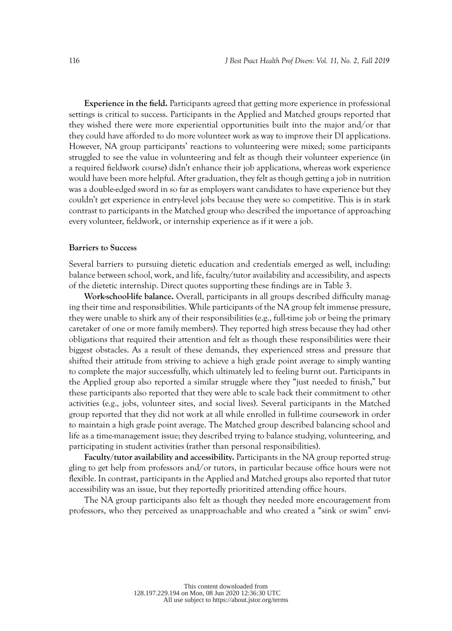**Experience in the field.** Participants agreed that getting more experience in professional settings is critical to success. Participants in the Applied and Matched groups reported that they wished there were more experiential opportunities built into the major and/or that they could have afforded to do more volunteer work as way to improve their DI applications. However, NA group participants' reactions to volunteering were mixed; some participants struggled to see the value in volunteering and felt as though their volunteer experience (in a required fieldwork course) didn't enhance their job applications, whereas work experience would have been more helpful. After graduation, they felt as though getting a job in nutrition was a double-edged sword in so far as employers want candidates to have experience but they couldn't get experience in entry-level jobs because they were so competitive. This is in stark contrast to participants in the Matched group who described the importance of approaching every volunteer, fieldwork, or internship experience as if it were a job.

#### **Barriers to Success**

Several barriers to pursuing dietetic education and credentials emerged as well, including: balance between school, work, and life, faculty/tutor availability and accessibility, and aspects of the dietetic internship. Direct quotes supporting these findings are in Table 3.

**Work-school-life balance.** Overall, participants in all groups described difficulty managing their time and responsibilities. While participants of the NA group felt immense pressure, they were unable to shirk any of their responsibilities (e.g., full-time job or being the primary caretaker of one or more family members). They reported high stress because they had other obligations that required their attention and felt as though these responsibilities were their biggest obstacles. As a result of these demands, they experienced stress and pressure that shifted their attitude from striving to achieve a high grade point average to simply wanting to complete the major successfully, which ultimately led to feeling burnt out. Participants in the Applied group also reported a similar struggle where they "just needed to finish," but these participants also reported that they were able to scale back their commitment to other activities (e.g., jobs, volunteer sites, and social lives). Several participants in the Matched group reported that they did not work at all while enrolled in full-time coursework in order to maintain a high grade point average. The Matched group described balancing school and life as a time-management issue; they described trying to balance studying, volunteering, and participating in student activities (rather than personal responsibilities).

**Faculty/tutor availability and accessibility.** Participants in the NA group reported struggling to get help from professors and/or tutors, in particular because office hours were not flexible. In contrast, participants in the Applied and Matched groups also reported that tutor accessibility was an issue, but they reportedly prioritized attending office hours.

The NA group participants also felt as though they needed more encouragement from professors, who they perceived as unapproachable and who created a "sink or swim" envi-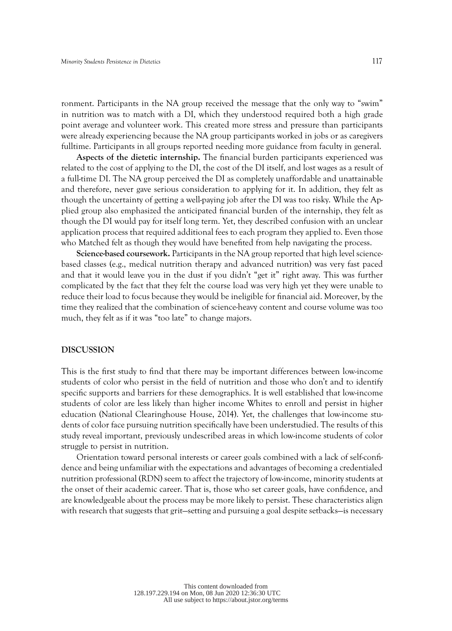ronment. Participants in the NA group received the message that the only way to "swim" in nutrition was to match with a DI, which they understood required both a high grade point average and volunteer work. This created more stress and pressure than participants were already experiencing because the NA group participants worked in jobs or as caregivers fulltime. Participants in all groups reported needing more guidance from faculty in general.

**Aspects of the dietetic internship.** The financial burden participants experienced was related to the cost of applying to the DI, the cost of the DI itself, and lost wages as a result of a full-time DI. The NA group perceived the DI as completely unaffordable and unattainable and therefore, never gave serious consideration to applying for it. In addition, they felt as though the uncertainty of getting a well-paying job after the DI was too risky. While the Applied group also emphasized the anticipated financial burden of the internship, they felt as though the DI would pay for itself long term. Yet, they described confusion with an unclear application process that required additional fees to each program they applied to. Even those who Matched felt as though they would have benefited from help navigating the process.

**Science-based coursework.** Participants in the NA group reported that high level sciencebased classes (e.g., medical nutrition therapy and advanced nutrition) was very fast paced and that it would leave you in the dust if you didn't "get it" right away. This was further complicated by the fact that they felt the course load was very high yet they were unable to reduce their load to focus because they would be ineligible for financial aid. Moreover, by the time they realized that the combination of science-heavy content and course volume was too much, they felt as if it was "too late" to change majors.

#### **DISCUSSION**

This is the first study to find that there may be important differences between low-income students of color who persist in the field of nutrition and those who don't and to identify specific supports and barriers for these demographics. It is well established that low-income students of color are less likely than higher income Whites to enroll and persist in higher education (National Clearinghouse House, 2014). Yet, the challenges that low-income students of color face pursuing nutrition specifically have been understudied. The results of this study reveal important, previously undescribed areas in which low-income students of color struggle to persist in nutrition.

Orientation toward personal interests or career goals combined with a lack of self-confidence and being unfamiliar with the expectations and advantages of becoming a credentialed nutrition professional (RDN) seem to affect the trajectory of low-income, minority students at the onset of their academic career. That is, those who set career goals, have confidence, and are knowledgeable about the process may be more likely to persist. These characteristics align with research that suggests that grit—setting and pursuing a goal despite setbacks—is necessary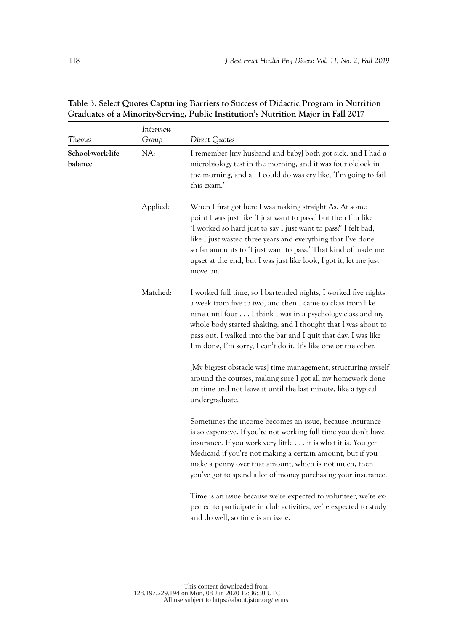|                             | Interview |                                                                                                                                                                                                                                                                                                                                                                                                                |
|-----------------------------|-----------|----------------------------------------------------------------------------------------------------------------------------------------------------------------------------------------------------------------------------------------------------------------------------------------------------------------------------------------------------------------------------------------------------------------|
| Themes                      | Group     | Direct Quotes                                                                                                                                                                                                                                                                                                                                                                                                  |
| School-work-life<br>balance | NA:       | I remember [my husband and baby] both got sick, and I had a<br>microbiology test in the morning, and it was four o'clock in<br>the morning, and all I could do was cry like, 'I'm going to fail<br>this exam.'                                                                                                                                                                                                 |
|                             | Applied:  | When I first got here I was making straight As. At some<br>point I was just like 'I just want to pass,' but then I'm like<br>'I worked so hard just to say I just want to pass?' I felt bad,<br>like I just wasted three years and everything that I've done<br>so far amounts to 'I just want to pass.' That kind of made me<br>upset at the end, but I was just like look, I got it, let me just<br>move on. |
|                             | Matched:  | I worked full time, so I bartended nights, I worked five nights<br>a week from five to two, and then I came to class from like<br>nine until four I think I was in a psychology class and my<br>whole body started shaking, and I thought that I was about to<br>pass out. I walked into the bar and I quit that day. I was like<br>I'm done, I'm sorry, I can't do it. It's like one or the other.            |
|                             |           | [My biggest obstacle was] time management, structuring myself<br>around the courses, making sure I got all my homework done<br>on time and not leave it until the last minute, like a typical<br>undergraduate.                                                                                                                                                                                                |
|                             |           | Sometimes the income becomes an issue, because insurance<br>is so expensive. If you're not working full time you don't have<br>insurance. If you work very little it is what it is. You get<br>Medicaid if you're not making a certain amount, but if you<br>make a penny over that amount, which is not much, then<br>you've got to spend a lot of money purchasing your insurance.                           |
|                             |           | Time is an issue because we're expected to volunteer, we're ex-<br>pected to participate in club activities, we're expected to study<br>and do well, so time is an issue.                                                                                                                                                                                                                                      |

**Table 3. Select Quotes Capturing Barriers to Success of Didactic Program in Nutrition Graduates of a Minority-Serving, Public Institution's Nutrition Major in Fall 2017**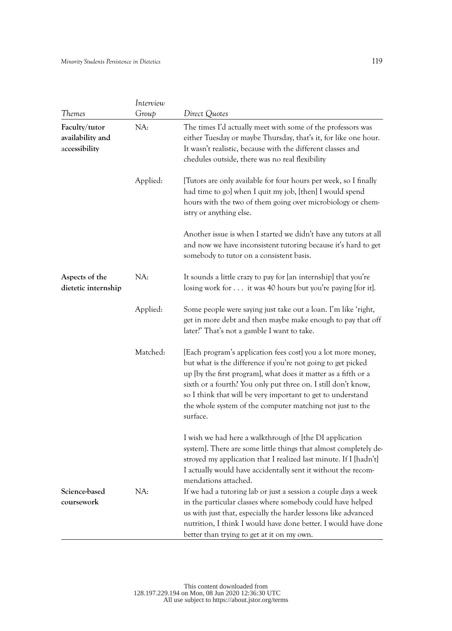|                                                    | Interview |                                                                                                                                                                                                                                                                                                                                                                                                         |
|----------------------------------------------------|-----------|---------------------------------------------------------------------------------------------------------------------------------------------------------------------------------------------------------------------------------------------------------------------------------------------------------------------------------------------------------------------------------------------------------|
| <b>Themes</b>                                      | Group     | Direct Quotes                                                                                                                                                                                                                                                                                                                                                                                           |
| Faculty/tutor<br>availability and<br>accessibility | NA:       | The times I'd actually meet with some of the professors was<br>either Tuesday or maybe Thursday, that's it, for like one hour.<br>It wasn't realistic, because with the different classes and<br>chedules outside, there was no real flexibility                                                                                                                                                        |
|                                                    | Applied:  | [Tutors are only available for four hours per week, so I finally<br>had time to go] when I quit my job, [then] I would spend<br>hours with the two of them going over microbiology or chem-<br>istry or anything else.                                                                                                                                                                                  |
|                                                    |           | Another issue is when I started we didn't have any tutors at all<br>and now we have inconsistent tutoring because it's hard to get<br>somebody to tutor on a consistent basis.                                                                                                                                                                                                                          |
| Aspects of the<br>dietetic internship              | NA:       | It sounds a little crazy to pay for [an internship] that you're<br>losing work for it was 40 hours but you're paying [for it].                                                                                                                                                                                                                                                                          |
|                                                    | Applied:  | Some people were saying just take out a loan. I'm like 'right,<br>get in more debt and then maybe make enough to pay that off<br>later?' That's not a gamble I want to take.                                                                                                                                                                                                                            |
|                                                    | Matched:  | [Each program's application fees cost] you a lot more money,<br>but what is the difference if you're not going to get picked<br>up [by the first program], what does it matter as a fifth or a<br>sixth or a fourth? You only put three on. I still don't know,<br>so I think that will be very important to get to understand<br>the whole system of the computer matching not just to the<br>surface. |
|                                                    |           | I wish we had here a walkthrough of [the DI application<br>system]. There are some little things that almost completely de-<br>stroyed my application that I realized last minute. If I [hadn't]<br>I actually would have accidentally sent it without the recom-<br>mendations attached.                                                                                                               |
| Science-based<br>coursework                        | NA:       | If we had a tutoring lab or just a session a couple days a week<br>in the particular classes where somebody could have helped<br>us with just that, especially the harder lessons like advanced<br>nutrition, I think I would have done better. I would have done<br>better than trying to get at it on my own.                                                                                         |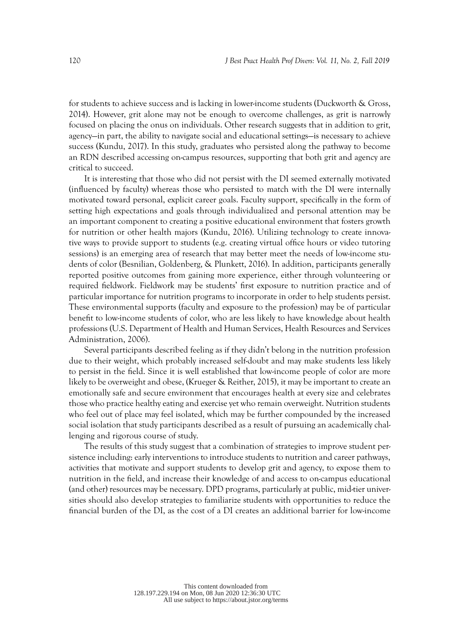for students to achieve success and is lacking in lower-income students (Duckworth & Gross, 2014). However, grit alone may not be enough to overcome challenges, as grit is narrowly focused on placing the onus on individuals. Other research suggests that in addition to grit, agency—in part, the ability to navigate social and educational settings—is necessary to achieve success (Kundu, 2017). In this study, graduates who persisted along the pathway to become an RDN described accessing on-campus resources, supporting that both grit and agency are critical to succeed.

It is interesting that those who did not persist with the DI seemed externally motivated (influenced by faculty) whereas those who persisted to match with the DI were internally motivated toward personal, explicit career goals. Faculty support, specifically in the form of setting high expectations and goals through individualized and personal attention may be an important component to creating a positive educational environment that fosters growth for nutrition or other health majors (Kundu, 2016). Utilizing technology to create innovative ways to provide support to students (e.g. creating virtual office hours or video tutoring sessions) is an emerging area of research that may better meet the needs of low-income students of color (Besnilian, Goldenberg, & Plunkett, 2016). In addition, participants generally reported positive outcomes from gaining more experience, either through volunteering or required fieldwork. Fieldwork may be students' first exposure to nutrition practice and of particular importance for nutrition programs to incorporate in order to help students persist. These environmental supports (faculty and exposure to the profession) may be of particular benefit to low-income students of color, who are less likely to have knowledge about health professions (U.S. Department of Health and Human Services, Health Resources and Services Administration, 2006).

Several participants described feeling as if they didn't belong in the nutrition profession due to their weight, which probably increased self-doubt and may make students less likely to persist in the field. Since it is well established that low-income people of color are more likely to be overweight and obese, (Krueger & Reither, 2015), it may be important to create an emotionally safe and secure environment that encourages health at every size and celebrates those who practice healthy eating and exercise yet who remain overweight. Nutrition students who feel out of place may feel isolated, which may be further compounded by the increased social isolation that study participants described as a result of pursuing an academically challenging and rigorous course of study.

The results of this study suggest that a combination of strategies to improve student persistence including: early interventions to introduce students to nutrition and career pathways, activities that motivate and support students to develop grit and agency, to expose them to nutrition in the field, and increase their knowledge of and access to on-campus educational (and other) resources may be necessary. DPD programs, particularly at public, mid-tier universities should also develop strategies to familiarize students with opportunities to reduce the financial burden of the DI, as the cost of a DI creates an additional barrier for low-income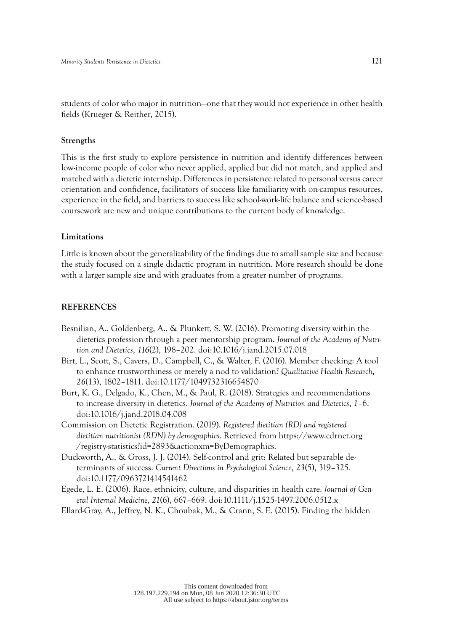students of color who major in nutrition—one that they would not experience in other health fields (Krueger & Reither, 2015).

#### **Strengths**

This is the first study to explore persistence in nutrition and identify differences between low-income people of color who never applied, applied but did not match, and applied and matched with a dietetic internship. Differences in persistence related to personal versus career orientation and confidence, facilitators of success like familiarity with on-campus resources, experience in the field, and barriers to success like school-work-life balance and science-based coursework are new and unique contributions to the current body of knowledge.

#### **Limitations**

Little is known about the generalizability of the findings due to small sample size and because the study focused on a single didactic program in nutrition. More research should be done with a larger sample size and with graduates from a greater number of programs.

#### **REFERENCES**

- Besnilian, A., Goldenberg, A., & Plunkett, S. W. (2016). Promoting diversity within the dietetics profession through a peer mentorship program. *Journal of the Academy of Nutrition and Dietetics*, *116*(2), 198–202. doi:10.1016/j.jand.2015.07.018
- Birt, L., Scott, S., Cavers, D., Campbell, C., & Walter, F. (2016). Member checking: A tool to enhance trustworthiness or merely a nod to validation? *Qualitative Health Research*, *26*(13), 1802–1811. doi:10.1177/1049732316654870
- Burt, K. G., Delgado, K., Chen, M., & Paul, R. (2018). Strategies and recommendations to increase diversity in dietetics. *Journal of the Academy of Nutrition and Dietetics*, *1*–6. doi:10.1016/j.jand.2018.04.008
- Commission on Dietetic Registration. (2019). *Registered dietitian (RD) and registered dietitian nutritionist (RDN) by demographics*. Retrieved from https://www.cdrnet.org /registry-statistics?id=2893&actionxm=ByDemographics.
- Duckworth, A., & Gross, J. J. (2014). Self-control and grit: Related but separable determinants of success. *Current Directions in Psychological Science*, *23*(5), 319–325. doi:10.1177/0963721414541462
- Egede, L. E. (2006). Race, ethnicity, culture, and disparities in health care. *Journal of General Internal Medicine*, *21*(6), 667–669. doi:10.1111/j.1525-1497.2006.0512.x

Ellard-Gray, A., Jeffrey, N. K., Choubak, M., & Crann, S. E. (2015). Finding the hidden